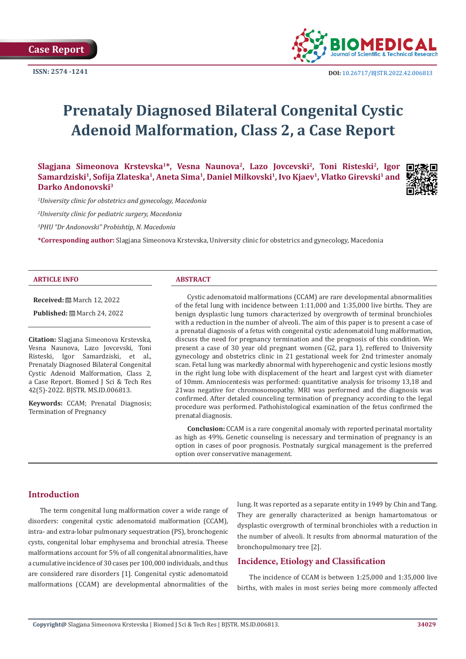

# **Prenataly Diagnosed Bilateral Congenital Cystic Adenoid Malformation, Class 2, a Case Report**

Slagjana Simeonova Krstevska<sup>1\*</sup>, Vesna Naunova<sup>2</sup>, Lazo Jovcevski<sup>2</sup>, Toni Risteski<sup>2</sup>, Igor **Samardziski1, Sofija Zlateska1, Aneta Sima1, Daniel Milkovski1, Ivo Kjaev1, Vlatko Girevski1 and Darko Andonovski3**



*1 University clinic for obstetrics and gynecology, Macedonia*

*2 University clinic for pediatric surgery, Macedonia*

*3 PHU "Dr Andonovski" Probishtip, N. Macedonia*

**\*Corresponding author:** Slagjana Simeonova Krstevska, University clinic for obstetrics and gynecology, Macedonia

#### **ARTICLE INFO ABSTRACT**

**Received:** March 12, 2022

**Published:** ■ March 24, 2022

**Citation:** Slagjana Simeonova Krstevska, Vesna Naunova, Lazo Jovcevski, Toni Risteski, Igor Samardziski, et al., Prenataly Diagnosed Bilateral Congenital Cystic Adenoid Malformation, Class 2, a Case Report. Biomed J Sci & Tech Res 42(5)-2022. BJSTR. MS.ID.006813.

**Keywords:** CCAM; Prenatal Diagnosis; Termination of Pregnancy

Cystic adenomatoid malformations (CCAM) are rare developmental abnormalities of the fetal lung with incidence between 1:11,000 and 1:35,000 live births. They are benign dysplastic lung tumors characterized by overgrowth of terminal bronchioles with a reduction in the number of alveoli. The aim of this paper is to present a case of a prenatal diagnosis of a fetus with congenital cystic adenomatoid lung malformation, discuss the need for pregnancy termination and the prognosis of this condition. We present a case of 30 year old pregnant women (G2, para 1), reffered to University gynecology and obstetrics clinic in 21 gestational week for 2nd trimester anomaly scan. Fetal lung was markedly abnormal with hyperehogenic and cystic lesions mostly in the right lung lobe with displacement of the heart and largest cyst with diameter of 10mm. Amniocentesis was performed: quantitative analysis for trisomy 13,18 and 21was negative for chromosomopathy. MRI was performed and the diagnosis was confirmed. After detaled counceling termination of pregnancy according to the legal procedure was performed. Pathohistological examination of the fetus confirmed the prenatal diagnosis.

**Conclusion:** CCAM is a rare congenital anomaly with reported perinatal mortality as high as 49%. Genetic counseling is necessary and termination of pregnancy is an option in cases of poor prognosis. Postnataly surgical management is the preferred option over conservative management.

### **Introduction**

The term congenital lung malformation cover a wide range of disorders: congenital cystic adenomatoid malformation (CCAM), intra- and extra-lobar pulmonary sequestration (PS), bronchogenic cysts, congenital lobar emphysema and bronchial atresia. Theese malformations account for 5% of all congenital abnormalities, have a cumulative incidence of 30 cases per 100,000 individuals, and thus are considered rare disorders [1]. Congenital cystic adenomatoid malformations (CCAM) are developmental abnormalities of the

lung. It was reported as a separate entity in 1949 by Chin and Tang. They are generally characterized as benign hamartomatous or dysplastic overgrowth of terminal bronchioles with a reduction in the number of alveoli. It results from abnormal maturation of the bronchopulmonary tree [2].

#### **Incidence, Etiology and Classification**

The incidence of CCAM is between 1:25,000 and 1:35,000 live births, with males in most series being more commonly affected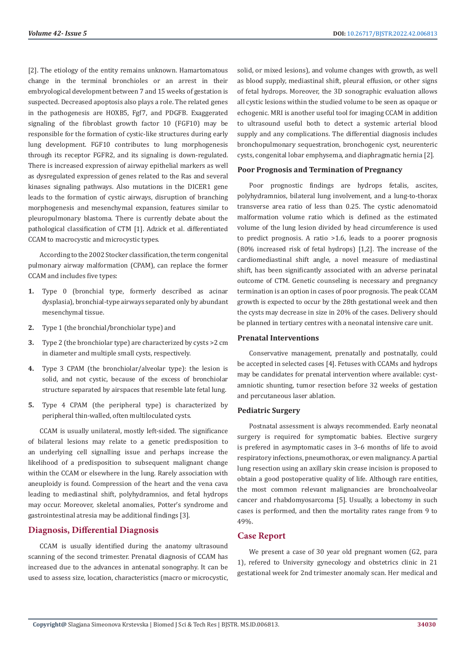[2]. The etiology of the entity remains unknown. Hamartomatous change in the terminal bronchioles or an arrest in their embryological development between 7 and 15 weeks of gestation is suspected. Decreased apoptosis also plays a role. The related genes in the pathogenesis are HOXB5, Fgf7, and PDGFB. Exaggerated signaling of the fibroblast growth factor 10 (FGF10) may be responsible for the formation of cystic-like structures during early lung development. FGF10 contributes to lung morphogenesis through its receptor FGFR2, and its signaling is down-regulated. There is increased expression of airway epithelial markers as well as dysregulated expression of genes related to the Ras and several kinases signaling pathways. Also mutations in the DICER1 gene leads to the formation of cystic airways, disruption of branching morphogenesis and mesenchymal expansion, features similar to pleuropulmonary blastoma. There is currently debate about the pathological classification of CTM [1]. Adzick et al. differentiated CCAM to macrocystic and microcystic types.

According to the 2002 Stocker classification, the term congenital pulmonary airway malformation (CPAM), can replace the former CCAM and includes five types:

- **1.** Type 0 (bronchial type, formerly described as acinar dysplasia), bronchial-type airways separated only by abundant mesenchymal tissue.
- **2.** Type 1 (the bronchial/bronchiolar type) and
- **3.** Type 2 (the bronchiolar type) are characterized by cysts >2 cm in diameter and multiple small cysts, respectively.
- **4.** Type 3 CPAM (the bronchiolar/alveolar type): the lesion is solid, and not cystic, because of the excess of bronchiolar structure separated by airspaces that resemble late fetal lung.
- **5.** Type 4 CPAM (the peripheral type) is characterized by peripheral thin-walled, often multiloculated cysts.

CCAM is usually unilateral, mostly left-sided. The significance of bilateral lesions may relate to a genetic predisposition to an underlying cell signalling issue and perhaps increase the likelihood of a predisposition to subsequent malignant change within the CCAM or elsewhere in the lung. Rarely association with aneuploidy is found. Compression of the heart and the vena cava leading to mediastinal shift, polyhydramnios, and fetal hydrops may occur. Moreover, skeletal anomalies, Potter's syndrome and gastrointestinal atresia may be additional findings [3].

# **Diagnosis, Differential Diagnosis**

CCAM is usually identified during the anatomy ultrasound scanning of the second trimester. Prenatal diagnosis of CCAM has increased due to the advances in antenatal sonography. It can be used to assess size, location, characteristics (macro or microcystic, solid, or mixed lesions), and volume changes with growth, as well as blood supply, mediastinal shift, pleural effusion, or other signs of fetal hydrops. Moreover, the 3D sonographic evaluation allows all cystic lesions within the studied volume to be seen as opaque or echogenic. MRI is another useful tool for imaging CCAM in addition to ultrasound useful both to detect a systemic arterial blood supply and any complications. The differential diagnosis includes bronchopulmonary sequestration, bronchogenic cyst, neurenteric cysts, congenital lobar emphysema, and diaphragmatic hernia [2].

#### **Poor Prognosis and Termination of Pregnancy**

Poor prognostic findings are hydrops fetalis, ascites, polyhydramnios, bilateral lung involvement, and a lung-to-thorax transverse area ratio of less than 0.25. The cystic adenomatoid malformation volume ratio which is defined as the estimated volume of the lung lesion divided by head circumference is used to predict prognosis. A ratio >1.6, leads to a poorer prognosis (80% increased risk of fetal hydrops) [1,2]. The increase of the cardiomediastinal shift angle, a novel measure of mediastinal shift, has been significantly associated with an adverse perinatal outcome of CTM. Genetic counseling is necessary and pregnancy termination is an option in cases of poor prognosis. The peak CCAM growth is expected to occur by the 28th gestational week and then the cysts may decrease in size in 20% of the cases. Delivery should be planned in tertiary centres with a neonatal intensive care unit.

#### **Prenatal Interventions**

Conservative management, prenatally and postnatally, could be accepted in selected cases [4]. Fetuses with CCAMs and hydrops may be candidates for prenatal intervention where available: cystamniotic shunting, tumor resection before 32 weeks of gestation and percutaneous laser ablation.

#### **Pediatric Surgery**

Postnatal assessment is always recommended. Early neonatal surgery is required for symptomatic babies. Elective surgery is prefered in asymptomatic cases in 3–6 months of life to avoid respiratory infections, pneumothorax, or even malignancy. A partial lung resection using an axillary skin crease incision is proposed to obtain a good postoperative quality of life. Although rare entities, the most common relevant malignancies are bronchoalveolar cancer and rhabdomyosarcoma [5]. Usually, a lobectomy in such cases is performed, and then the mortality rates range from 9 to 49%.

# **Case Report**

We present a case of 30 year old pregnant women (G2, para 1), refered to University gynecology and obstetrics clinic in 21 gestational week for 2nd trimester anomaly scan. Her medical and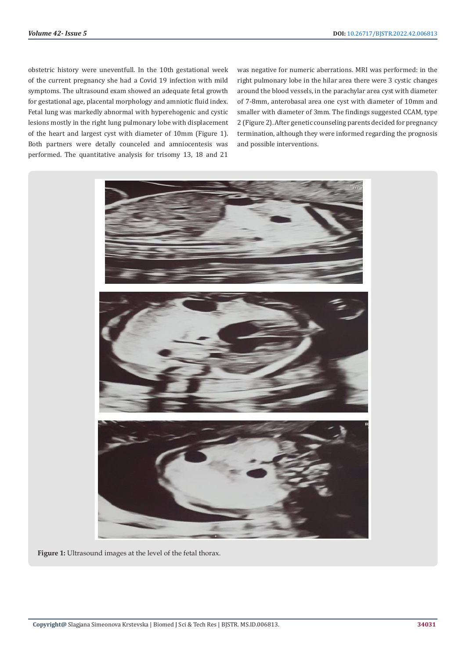obstetric history were uneventfull. In the 10th gestational week of the current pregnancy she had a Covid 19 infection with mild symptoms. The ultrasound exam showed an adequate fetal growth for gestational age, placental morphology and amniotic fluid index. Fetal lung was markedly abnormal with hyperehogenic and cystic lesions mostly in the right lung pulmonary lobe with displacement of the heart and largest cyst with diameter of 10mm (Figure 1). Both partners were detally counceled and amniocentesis was performed. The quantitative analysis for trisomy 13, 18 and 21

was negative for numeric aberrations. MRI was performed: in the right pulmonary lobe in the hilar area there were 3 cystic changes around the blood vessels, in the parachylar area cyst with diameter of 7-8mm, anterobasal area one cyst with diameter of 10mm and smaller with diameter of 3mm. The findings suggested CCAM, type 2 (Figure 2). After genetic counseling parents decided for pregnancy termination, although they were informed regarding the prognosis and possible interventions.



**Figure 1:** Ultrasound images at the level of the fetal thorax.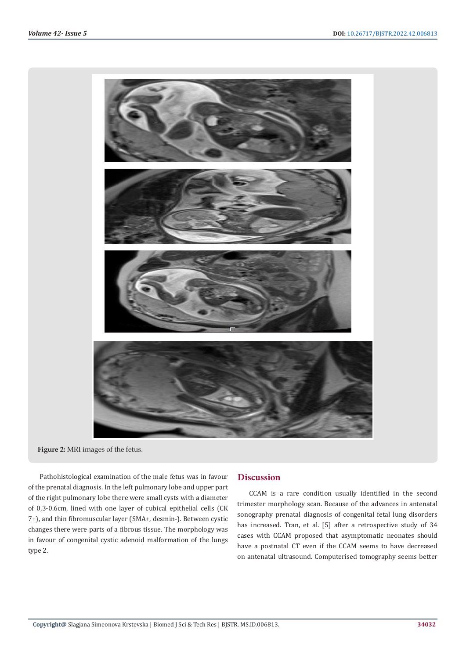

**Figure 2:** MRI images of the fetus.

Pathohistological examination of the male fetus was in favour of the prenatal diagnosis. In the left pulmonary lobe and upper part of the right pulmonary lobe there were small cysts with a diameter of 0,3-0.6cm, lined with one layer of cubical epithelial cells (CK 7+), and thin fibromuscular layer (SMA+, desmin-). Between cystic changes there were parts of a fibrous tissue. The morphology was in favour of congenital cystic adenoid malformation of the lungs type 2.

# **Discussion**

CCAM is a rare condition usually identified in the second trimester morphology scan. Because of the advances in antenatal sonography prenatal diagnosis of congenital fetal lung disorders has increased. Tran, et al. [5] after a retrospective study of 34 cases with CCAM proposed that asymptomatic neonates should have a postnatal CT even if the CCAM seems to have decreased on antenatal ultrasound. Computerised tomography seems better